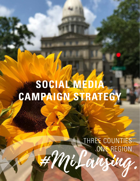# **SOCIAL MEDIA CAMPAIGN STRATEGY**

#MiLansing.

THREE COUNTIES. ONE REGION.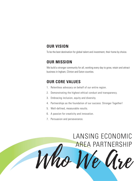#### **OUR VISION**

To be the best destination for global talent and investment, their home by choice.

#### **OUR MISSION**

We build a stronger community for all, working every day to grow, retain and attract business in Ingham, Clinton and Eaton counties.

# **OUR CORE VALUES**

- 1. Relentless advocacy on behalf of our entire region.
- 2. Demonstrating the highest ethical conduct and transparency.
- 3. Embracing inclusion, equity and diversity.
- 4. Partnerships as the foundation of our success: Stronger Together!
- 5. Well-defined, measurable results.
- 6. A passion for creativity and innovation.
- 7. Persuasion and perseverance.

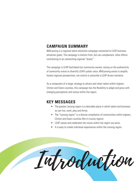## **CAMPAIGN SUMMARY**

#MiLansing is a regional talent attraction campaign connected to LEAP business attraction goals. The campaign is distinct from, but can complement, other efforts contributing to an overarching regional "brand."

The campaign is LEAP-facilitated but community owned, relying on the authenticity of community voices to diversify LEAP's public voice. #MiLansing exists to amplify honest regional perspectives, not control or prescribe a LEAP-driven narrative.

As a component of a larger strategy to attract and retain talent within Ingham, Clinton and Eaton counties, this campaign has the flexibility to adapt and grow with changing perceptions and voices within the region.

#### **KEY MESSAGES**

- The greater Lansing region is a desirable place in which talent and businesses can live, work, play and thrive.
- The "Lansing region" is a diverse compilation of communities within Ingham, Clinton and Eaton counties (the tri-county region).
- LEAP values and celebrates the voices within the region we serve.
- It is easy to create individual experiences within the Lansing region.

Introduction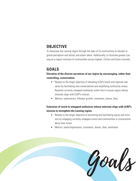# **OBJECTIVE**

To showcase the Lansing region through the eyes of its communities to elevate regional perception and attract and attain talent. Additionally, to illustrate greater Lansing as a region inclusive of communities across Ingham, Clinton and Eaton counties.

# **GOALS**

**Elevation of the diverse narratives of our region by encouraging, rather than controlling, conversation.**

- Relates to the larger objective of elevating LEAP's brand and regional relevance by facilitating new conversations and amplifying community voices. Reached currently untapped audiences within the tri-county region whose interests align with LEAP's mission.
- Metrics: submissions, follower growth, comments, shares, likes

#### **Extension of reach to untapped audiences whose interests align with LEAP's mission to strengthen the Lansing region.**

- Relates to the larger objective of promoting and facilitating equity and inclusion by engaging currently untapped voices and communities in conversation about their home.
- Metrics: reach/impressions, comments, shares, likes, sentiment

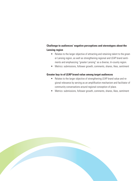#### **Challenge to audiences' negative perceptions and stereotypes about the Lansing region**

- Relates to the larger objective of attracting and retaining talent to the greater Lansing region, as well as strengthening regional and LEAP brand sentiments and emphasizing "greater Lansing" as a diverse, tri-county region.
- Metrics: submissions, follower growth, comments, shares, likes, sentiment

#### **Greater buy-in of LEAP brand value among target audiences**

- Relates to the larger objective of strengthening LEAP brand value and regional relevance by serving as an amplification mechanism and facilitator of community conversations around regional conception of place.
- Metrics: submissions, follower growth, comments, shares, likes, sentiment

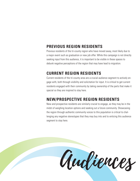# **PREVIOUS REGION RESIDENTS**

Previous residents of the tri-county region who have moved away, most likely due to a major event such as graduation or new job offer. While this campaign is not directly seeking input from this audience, it is important to be visible in these spaces to debunk negative perceptions of the region that may have lead to migration.

## **CURRENT REGION RESIDENTS**

Current residents of the tri-county area are a crucial audience segment to actively engage with, both through visibility and solicitation for input. It is critical to get current residents engaged with their community by taking ownership of the parts that make it special so they are inspired to stay here.

## **NEW/PROSPECTIVE REGION RESIDENTS**

New and prospective residents are similarly crucial to engage, as they may be in the midst of weighing location options and seeking out a future community. Showcasing the region through authentic community voices to this population is critical to challenging any negative stereotypes that they may buy into and to enticing this audience segment to stay here.

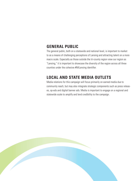## **GENERAL PUBLIC**

The general public, both on a statewide and national level, is important to market to as a means of challenging perceptions of Lansing and attracting talent on a more macro scale. Especially as those outside the tri-county region view our region as "Lansing," it is important to showcase the diversity of the region across all three counties under the cohesive #MiLansing identifier.

## **LOCAL AND STATE MEDIA OUTLETS**

Media relations for this campaign will focus primarily on earned media due to community reach, but may also integrate strategic components such as press releases, op-eds and digital banner ads. Media is important to engage on a regional and statewide scale to amplify and lend credibility to the campaign.

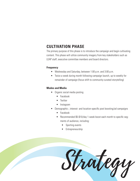# **CULTIVATION PHASE**

The primary purpose of this phase is to introduce the campaign and begin cultivating content. This phase will utilize community imagery from key stakeholders such as LEAP staff, executive committee members and board directors.

#### **Frequency**

- Wednesday and Saturday, between 1:00 p.m. and 3:00 p.m.
- Twice a week during month following campaign launch, up to weekly for remainder of campaign (focus shift to community-curated storytelling)

#### **Modes and Media**

- Organic social media posting
	- Facebook
	- Twitter
	- Instagram
- Demographic-, interest- and location-specific post boosting/ad campaigns
	- Facebook
	- Recommended \$5-\$10/day 1-week boost each month to specific segments of audience, including:
		- Sporting events
		- Entrepreneurship

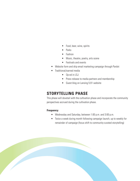- Food, beer, wine, spirits
- Parks
- Fashion
- Music, theatre, poetry, arts scene
- Festivals and events
- Website form and drip email marketing campaign through Pardot
- Traditional/earned media
	- Op-ed in LSJ
	- Press release to media partners and membership
	- Guest blog on Lansing 5:01 website

## **STORYTELLING PHASE**

This phase will dovetail with the cultivation phase and incorporate the community perspectives accrued during the cultivation phase.

#### **Frequency**

- Wednesday and Saturday, between 1:00 p.m. and 3:00 p.m.
- Twice a week during month following campaign launch, up to weekly for remainder of campaign (focus shift to community-curated storytelling)

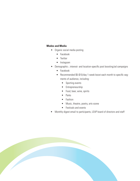#### **Modes and Media**

- Organic social media posting
	- Facebook
	- Twitter
	- Instagram
- Demographic-, interest- and location-specific post boosting/ad campaigns
	- Facebook
	- Recommended \$5-\$10/day 1-week boost each month to specific segments of audience, including:
		- Sporting events
		- Entrepreneurship
		- Food, beer, wine, spirits
		- Parks
		- Fashion
		- Music, theatre, poetry, arts scene
		- Festivals and events
- Monthly digest email to participants, LEAP board of directors and staff

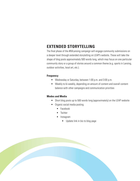## **EXTENDED STORYTELLING**

The final phase of the #MiLansing campaign will engage community submissions on a deeper level through extended storytelling on LEAP's website. These will take the shape of blog posts approximately 500 words long, which may focus on one particular community story or a group of stories around a common theme (e.g. sports in Lansing, outdoor activities, local art, etc.).

#### **Frequency**

- Wednesday or Saturday, between 1:00 p.m. and 3:00 p.m.
- Weekly to bi-weekly, depending on amount of content and overall content balance with other campaigns and communication priorities

#### **Modes and Media**

- Short blog posts up to 500 words long (approximately) on the LEAP website
- Organic social media posting
	- Facebook
	- **Twitter**
	- Instagram
		- Update link in bio to blog page

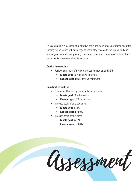This campaign is a marriage of qualitative goals around improving attitudes about the Lansing region, which will encourage talent to stay or come to the region, and quantitative goals around strengthening LEAP brand awareness, which will bolster LEAP's social media presence and audience base.

#### **Qualitative metrics**

- Positive sentiment of both greater Lansing region and LEAP
	- **• Meets goal:** 80% positive sentiment
	- **• Exceeds goal:** 90% positive sentiment

#### **Quantitative metrics**

- Number of #MiLansing community submissions
	- **• Meets goal:** 50 submissions
	- **• Exceeds goal:** 75 submissions
- Increase social media audience
	- **• Meets goal:** +1.5%
	- **• Exceeds goal:** +3.0%
- Increase social media reach
	- **• Meets goal:** +2.0%
	- **• Exceeds goal:** +4.0%

Assessment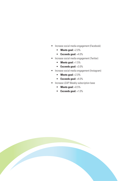- Increase social media engagement (Facebook)
	- **• Meets goal:** +2.0%
	- **• Exceeds goal:** +4.0%
- Increase social media engagement (Twitter)
	- **• Meets goal:** +1.5%
	- **• Exceeds goal:** +3.0%
- Increase social media engagement (Instagram)
	- **• Meets goal:** +2.0%
	- **• Exceeds goal:** +4.0%
- Increase LEAP Weekly subscription base
	- **• Meets goal:** +0.5%
	- **• Exceeds goal:** +1.0%